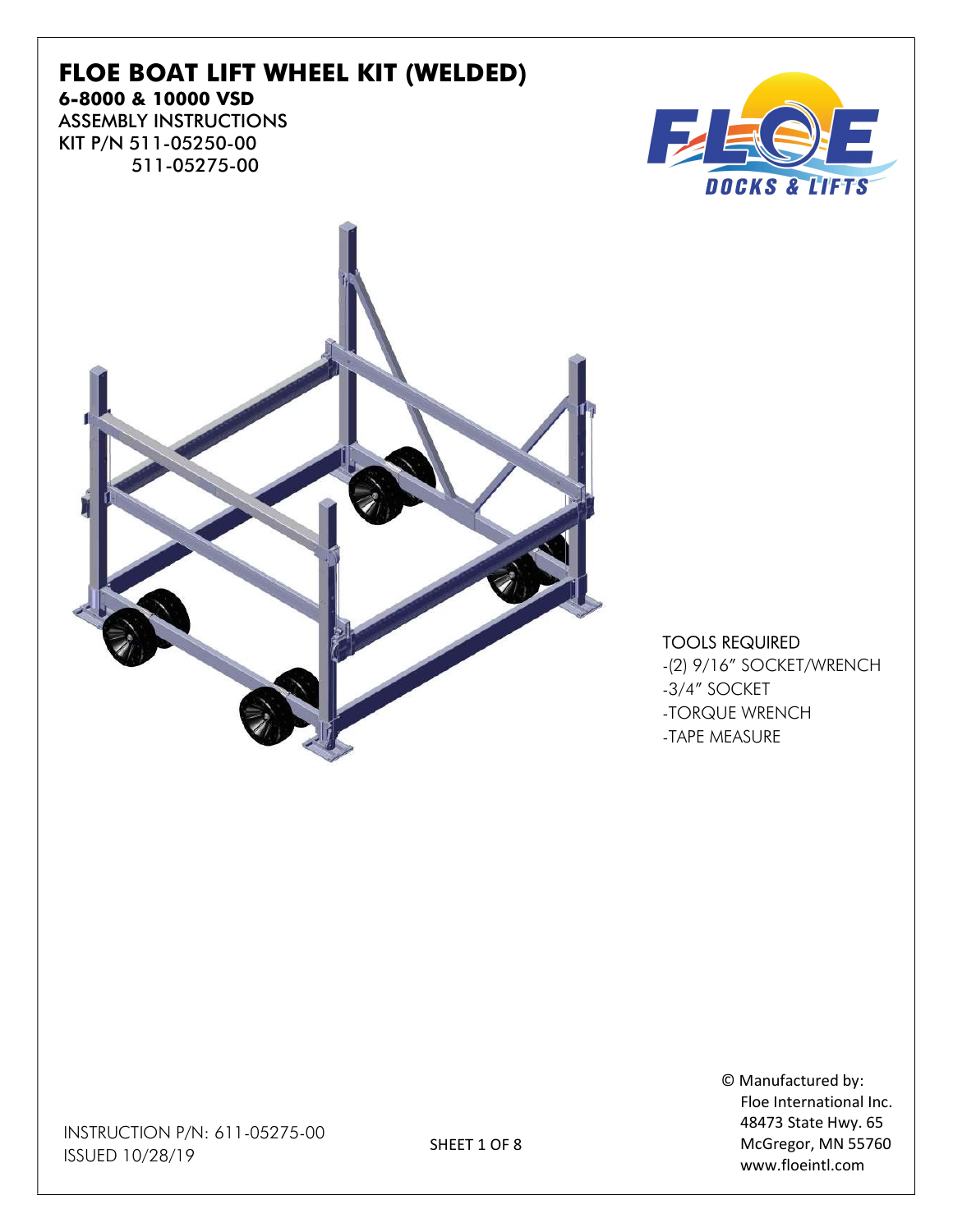### FLOE BOAT LIFT WHEEL KIT (WELDED) 6-8000 & 10000 VSD ASSEMBLY INSTRUCTIONS KIT P/N 511-05250-00

511-05275-00





#### TOOLS REQUIRED

-(2) 9/16" SOCKET/WRENCH -3/4" SOCKET -TORQUE WRENCH -TAPE MEASURE

> © Manufactured by: Floe International Inc. 48473 State Hwy. 65 McGregor, MN 55760 www.floeintl.com

INSTRUCTION P/N: 611-05275-00 ISSUED 10/28/19

SHEET 1 OF 8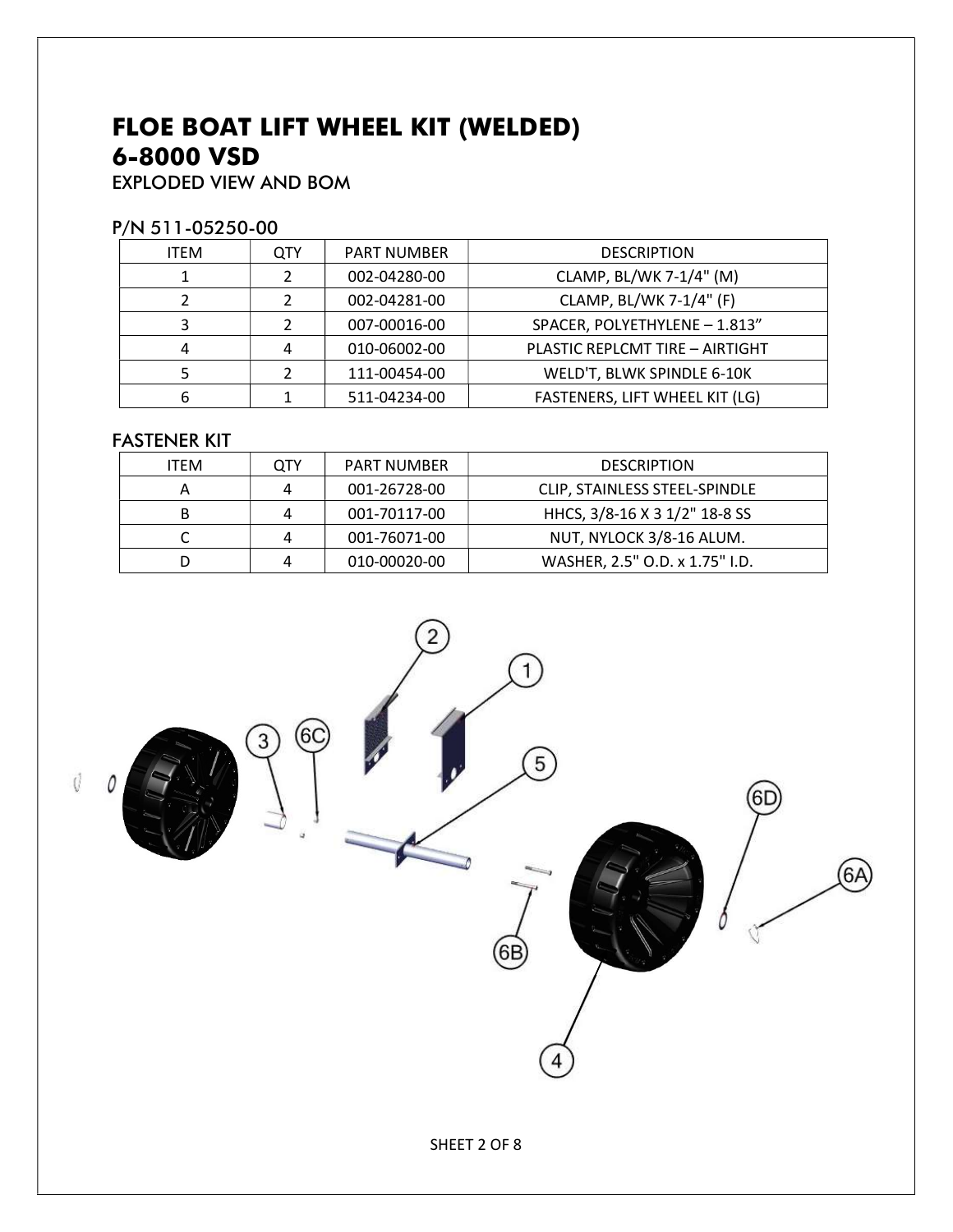# FLOE BOAT LIFT WHEEL KIT (WELDED) 6-8000 VSD

EXPLODED VIEW AND BOM

#### P/N 511-05250-00

| <b>QTY</b> | <b>PART NUMBER</b> | <b>DESCRIPTION</b>              |
|------------|--------------------|---------------------------------|
| າ          | 002-04280-00       | CLAMP, BL/WK 7-1/4" (M)         |
|            | 002-04281-00       | CLAMP, BL/WK 7-1/4" (F)         |
|            | 007-00016-00       | SPACER, POLYETHYLENE - 1.813"   |
|            | 010-06002-00       | PLASTIC REPLCMT TIRE - AIRTIGHT |
|            | 111-00454-00       | WELD'T, BLWK SPINDLE 6-10K      |
|            | 511-04234-00       | FASTENERS, LIFT WHEEL KIT (LG)  |
|            |                    |                                 |

### FASTENER KIT

| <b>ITEM</b> | OTY | PART NUMBER  | <b>DESCRIPTION</b>             |
|-------------|-----|--------------|--------------------------------|
|             | Δ   | 001-26728-00 | CLIP, STAINLESS STEEL-SPINDLE  |
| В           |     | 001-70117-00 | HHCS, 3/8-16 X 3 1/2" 18-8 SS  |
|             |     | 001-76071-00 | NUT, NYLOCK 3/8-16 ALUM.       |
|             |     | 010-00020-00 | WASHER, 2.5" O.D. x 1.75" I.D. |

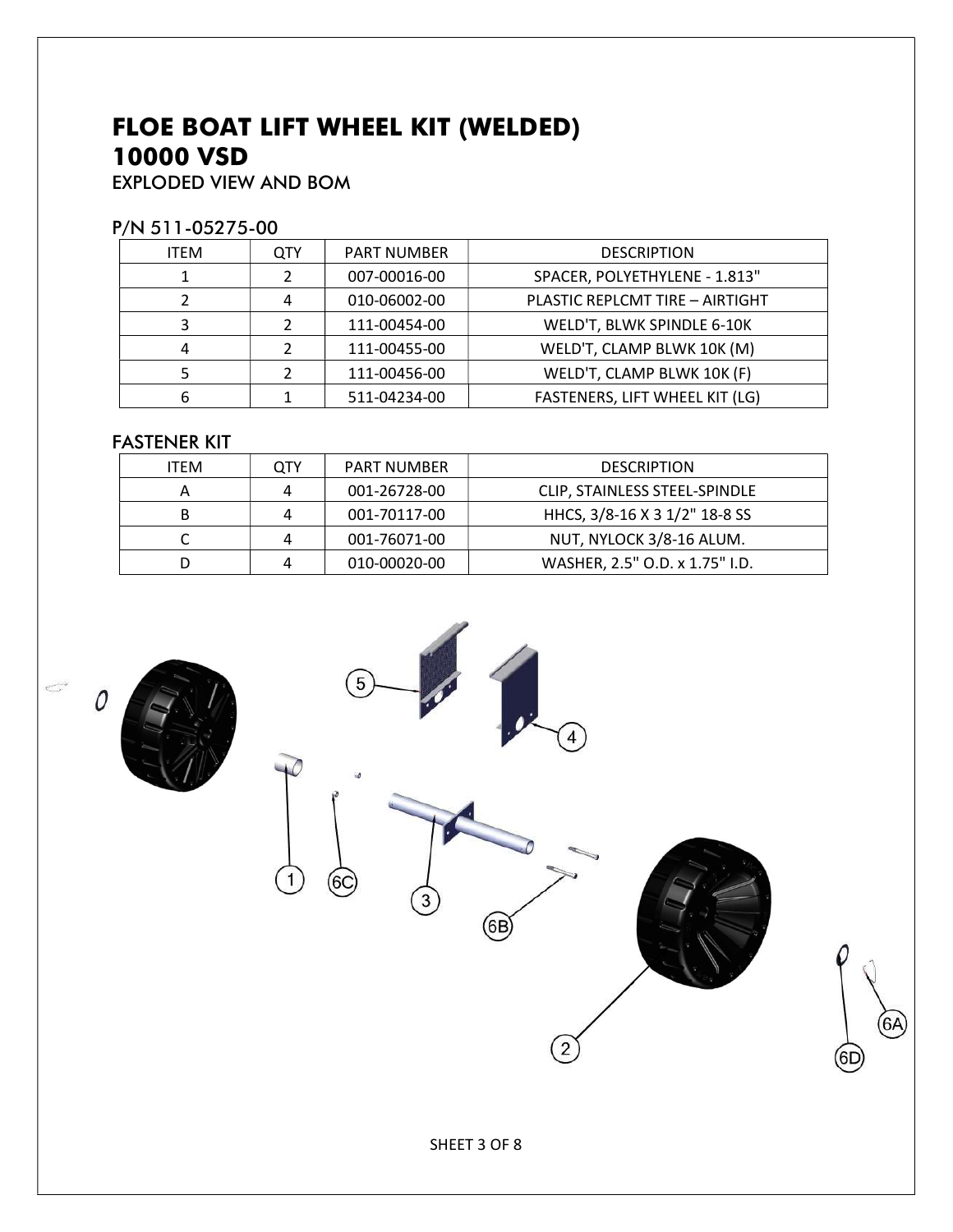# FLOE BOAT LIFT WHEEL KIT (WELDED) 10000 VSD

EXPLODED VIEW AND BOM

### P/N 511-05275-00

| <b>ITEM</b> | <b>QTY</b> | <b>PART NUMBER</b> | <b>DESCRIPTION</b>              |
|-------------|------------|--------------------|---------------------------------|
|             |            | 007-00016-00       | SPACER, POLYETHYLENE - 1.813"   |
|             |            | 010-06002-00       | PLASTIC REPLCMT TIRE - AIRTIGHT |
|             |            | 111-00454-00       | WELD'T, BLWK SPINDLE 6-10K      |
|             |            | 111-00455-00       | WELD'T, CLAMP BLWK 10K (M)      |
|             |            | 111-00456-00       | WELD'T, CLAMP BLWK 10K (F)      |
| 6           |            | 511-04234-00       | FASTENERS, LIFT WHEEL KIT (LG)  |

### FASTENER KIT

| <b>ITEM</b> | QTY | <b>PART NUMBER</b> | <b>DESCRIPTION</b>             |
|-------------|-----|--------------------|--------------------------------|
|             | Δ   | 001-26728-00       | CLIP, STAINLESS STEEL-SPINDLE  |
| В           | 4   | 001-70117-00       | HHCS, 3/8-16 X 3 1/2" 18-8 SS  |
|             | 4   | 001-76071-00       | NUT, NYLOCK 3/8-16 ALUM.       |
|             | Λ   | 010-00020-00       | WASHER, 2.5" O.D. x 1.75" I.D. |

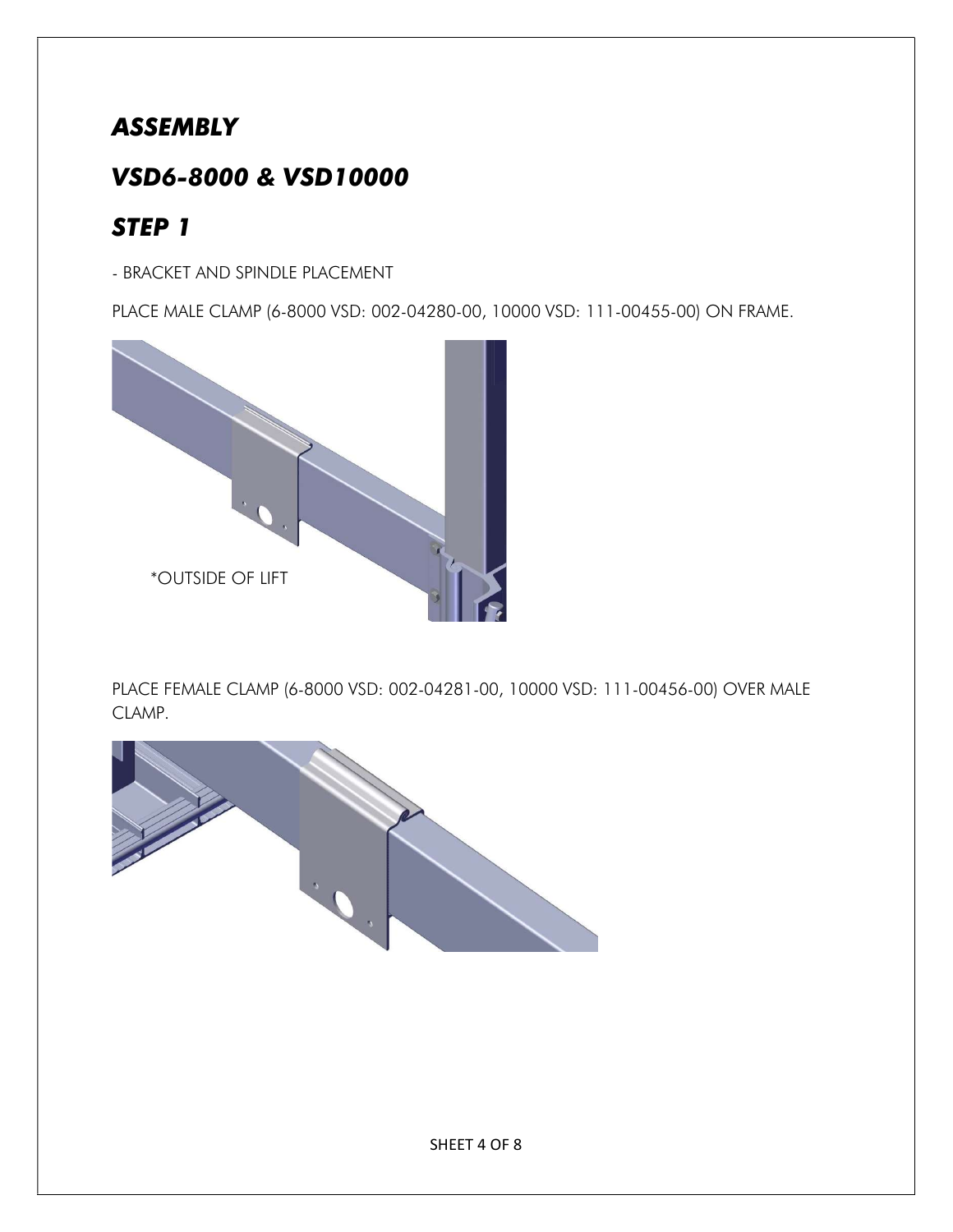### ASSEMBLY

## VSD6-8000 & VSD10000

# STEP 1

- BRACKET AND SPINDLE PLACEMENT

PLACE MALE CLAMP (6-8000 VSD: 002-04280-00, 10000 VSD: 111-00455-00) ON FRAME.



PLACE FEMALE CLAMP (6-8000 VSD: 002-04281-00, 10000 VSD: 111-00456-00) OVER MALE CLAMP.

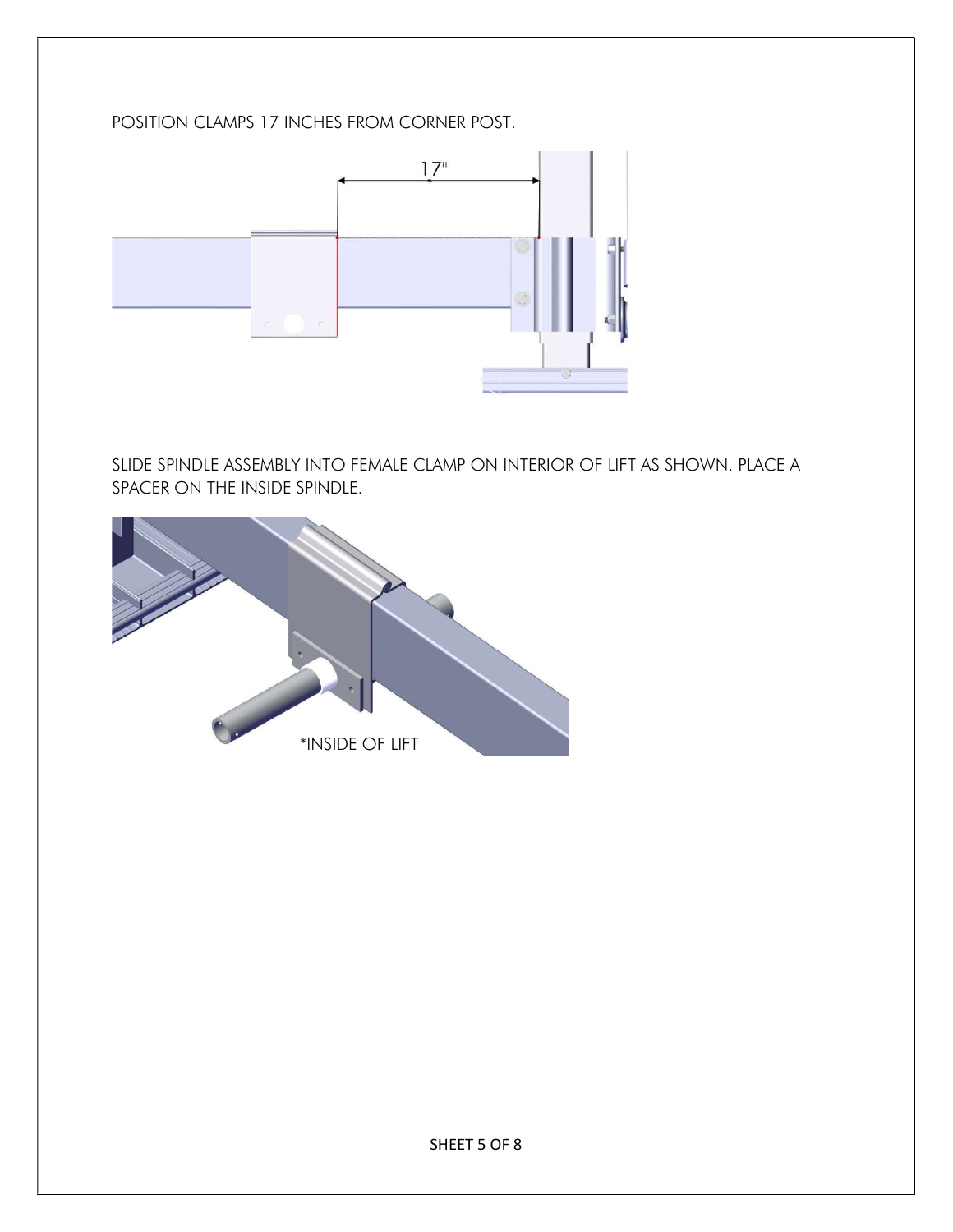#### POSITION CLAMPS 17 INCHES FROM CORNER POST.



SLIDE SPINDLE ASSEMBLY INTO FEMALE CLAMP ON INTERIOR OF LIFT AS SHOWN. PLACE A SPACER ON THE INSIDE SPINDLE.

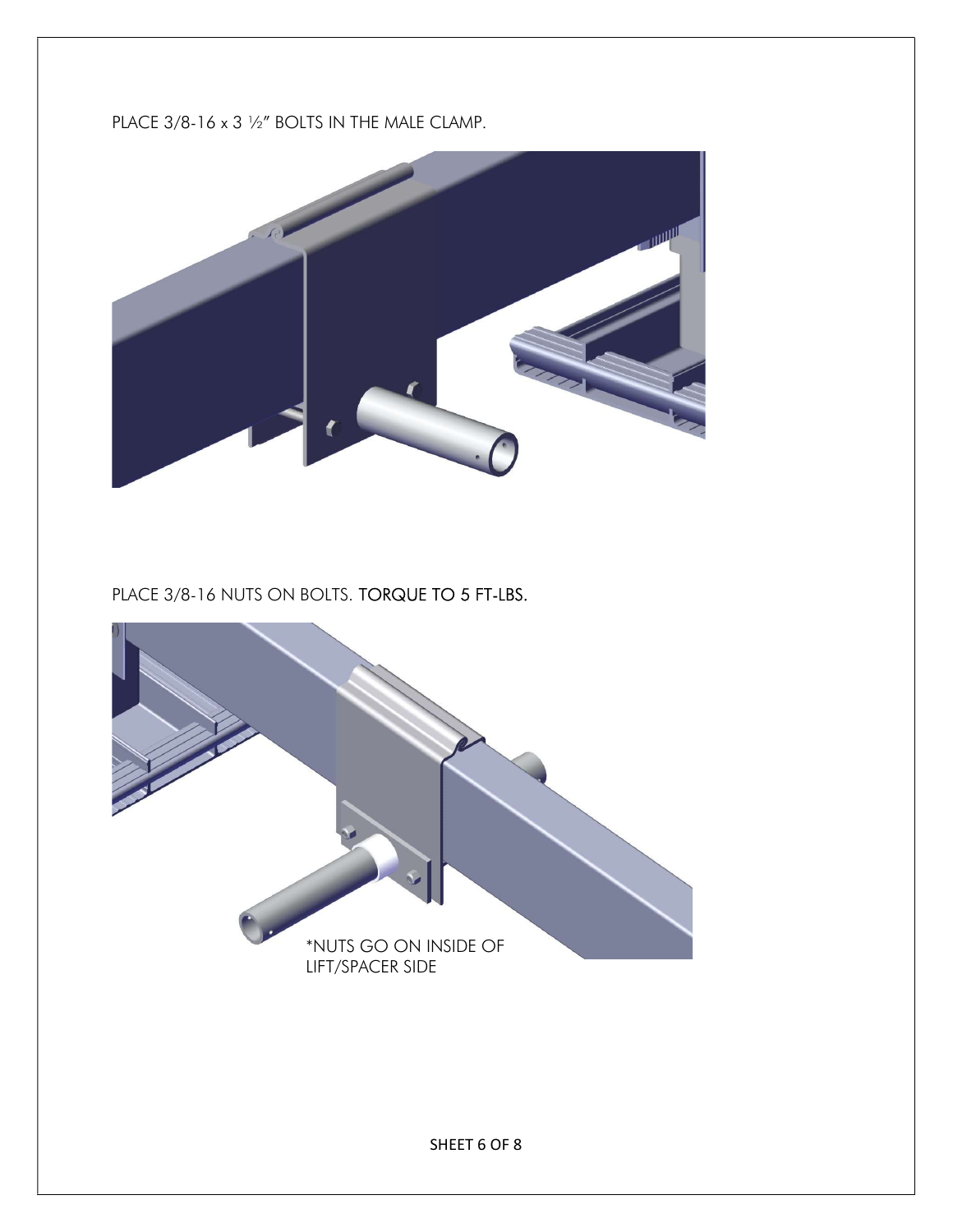### PLACE 3/8-16 x 3 1/2" BOLTS IN THE MALE CLAMP.



PLACE 3/8-16 NUTS ON BOLTS. TORQUE TO 5 FT-LBS.

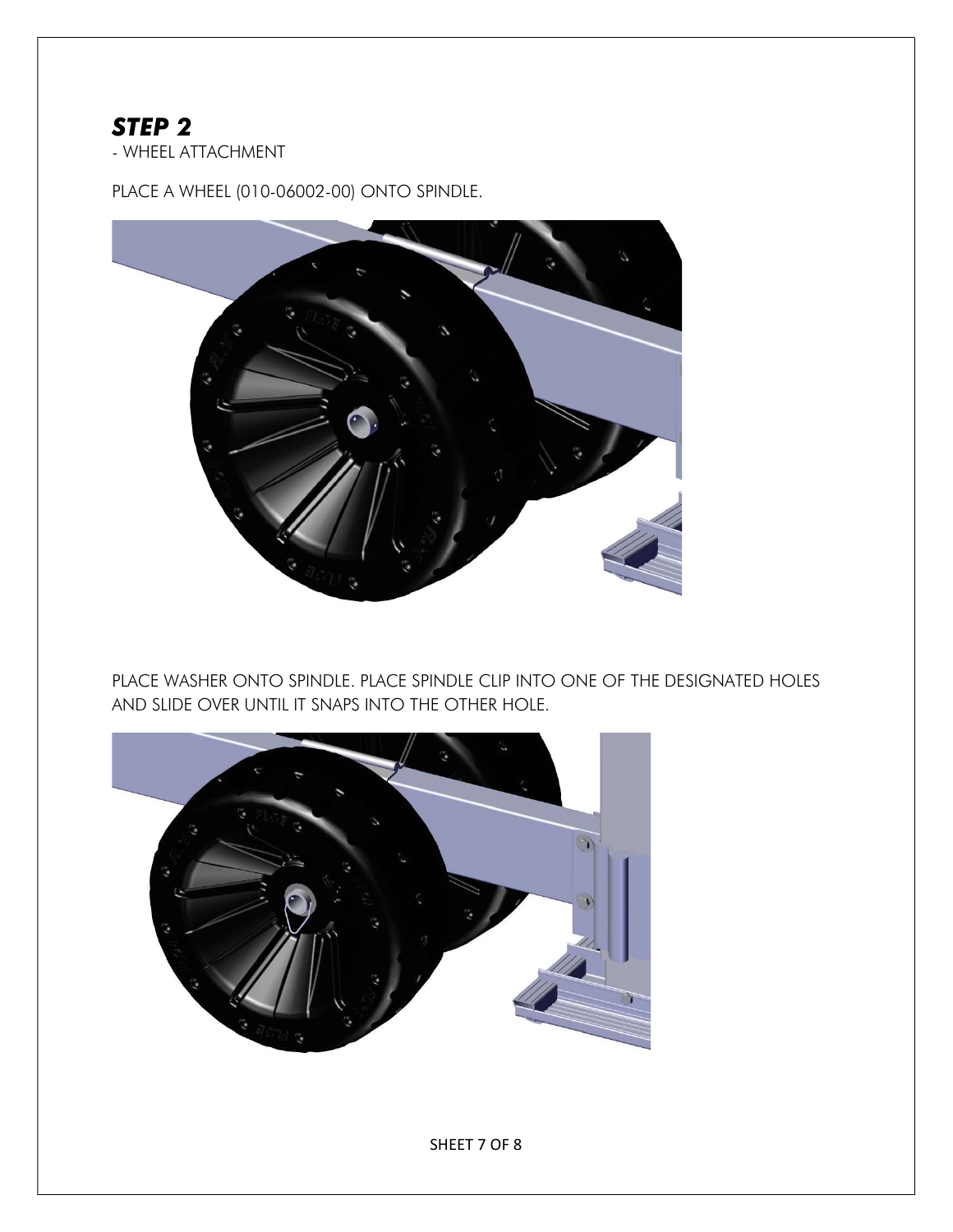### STEP 2

- WHEEL ATTACHMENT

PLACE A WHEEL (010-06002-00) ONTO SPINDLE.



PLACE WASHER ONTO SPINDLE. PLACE SPINDLE CLIP INTO ONE OF THE DESIGNATED HOLES AND SLIDE OVER UNTIL IT SNAPS INTO THE OTHER HOLE.